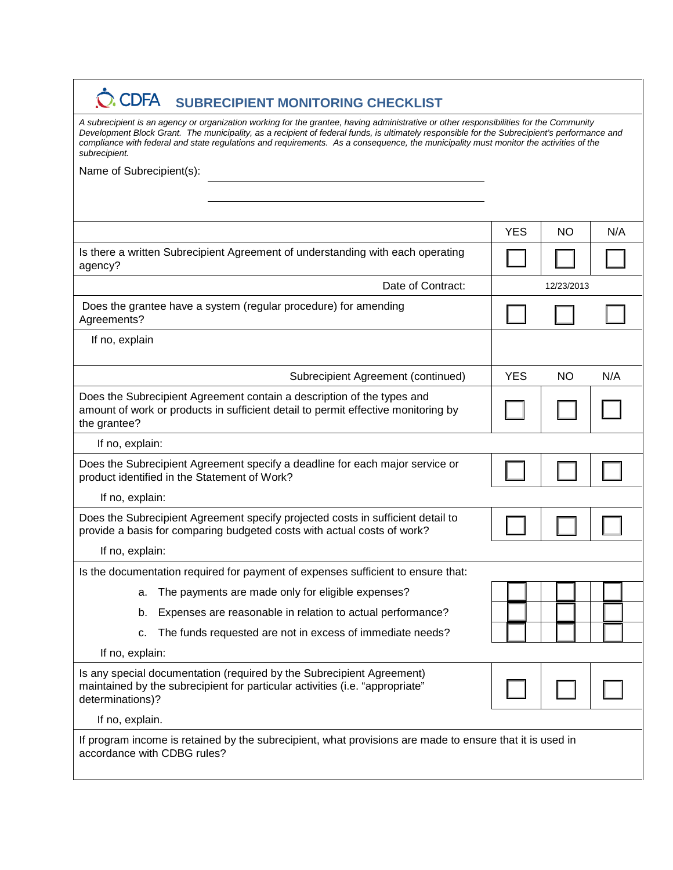## $\dot{\textbf{C}}$ **CDFA** SUBRECIPIENT MONITORING CHECKLIST

*A subrecipient is an agency or organization working for the grantee, having administrative or other responsibilities for the Community Development Block Grant. The municipality, as a recipient of federal funds, is ultimately responsible for the Subrecipient's performance and compliance with federal and state regulations and requirements. As a consequence, the municipality must monitor the activities of the subrecipient.*

Name of Subrecipient(s):

|                                                                                                                                                                             | <b>YES</b> | <b>NO</b>  | N/A |
|-----------------------------------------------------------------------------------------------------------------------------------------------------------------------------|------------|------------|-----|
| Is there a written Subrecipient Agreement of understanding with each operating<br>agency?                                                                                   |            |            |     |
| Date of Contract:                                                                                                                                                           |            | 12/23/2013 |     |
| Does the grantee have a system (regular procedure) for amending<br>Agreements?                                                                                              |            |            |     |
| If no, explain                                                                                                                                                              |            |            |     |
| Subrecipient Agreement (continued)                                                                                                                                          | <b>YES</b> | <b>NO</b>  | N/A |
| Does the Subrecipient Agreement contain a description of the types and<br>amount of work or products in sufficient detail to permit effective monitoring by<br>the grantee? |            |            |     |
| If no, explain:                                                                                                                                                             |            |            |     |
| Does the Subrecipient Agreement specify a deadline for each major service or<br>product identified in the Statement of Work?                                                |            |            |     |
| If no, explain:                                                                                                                                                             |            |            |     |
| Does the Subrecipient Agreement specify projected costs in sufficient detail to<br>provide a basis for comparing budgeted costs with actual costs of work?                  |            |            |     |
| If no, explain:                                                                                                                                                             |            |            |     |
| Is the documentation required for payment of expenses sufficient to ensure that:                                                                                            |            |            |     |
| The payments are made only for eligible expenses?<br>a.                                                                                                                     |            |            |     |
| Expenses are reasonable in relation to actual performance?<br>b.                                                                                                            |            |            |     |
| The funds requested are not in excess of immediate needs?<br>c.                                                                                                             |            |            |     |
| If no, explain:                                                                                                                                                             |            |            |     |
| Is any special documentation (required by the Subrecipient Agreement)<br>maintained by the subrecipient for particular activities (i.e. "appropriate"<br>determinations)?   |            |            |     |
| If no, explain.                                                                                                                                                             |            |            |     |
| If program income is retained by the subrecipient, what provisions are made to ensure that it is used in<br>accordance with CDBG rules?                                     |            |            |     |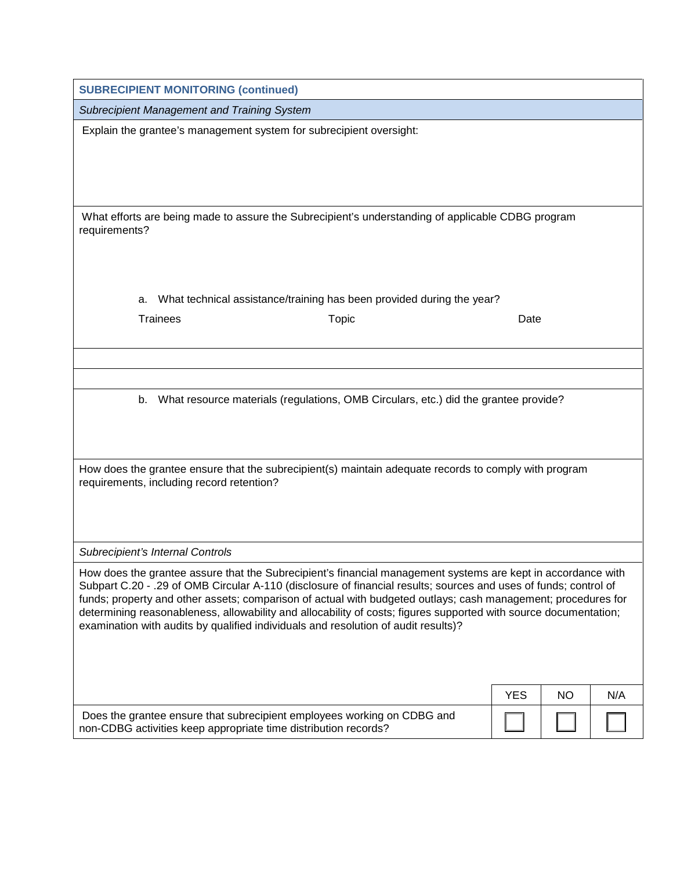|                                  | <b>SUBRECIPIENT MONITORING (continued)</b>                                                                                                 |                                                                                                                                                                                                                                                                                                                                                                                                                                                                       |            |           |     |
|----------------------------------|--------------------------------------------------------------------------------------------------------------------------------------------|-----------------------------------------------------------------------------------------------------------------------------------------------------------------------------------------------------------------------------------------------------------------------------------------------------------------------------------------------------------------------------------------------------------------------------------------------------------------------|------------|-----------|-----|
|                                  | Subrecipient Management and Training System                                                                                                |                                                                                                                                                                                                                                                                                                                                                                                                                                                                       |            |           |     |
|                                  | Explain the grantee's management system for subrecipient oversight:                                                                        |                                                                                                                                                                                                                                                                                                                                                                                                                                                                       |            |           |     |
| requirements?                    |                                                                                                                                            | What efforts are being made to assure the Subrecipient's understanding of applicable CDBG program                                                                                                                                                                                                                                                                                                                                                                     |            |           |     |
| a.                               |                                                                                                                                            | What technical assistance/training has been provided during the year?                                                                                                                                                                                                                                                                                                                                                                                                 |            |           |     |
| <b>Trainees</b>                  |                                                                                                                                            | <b>Topic</b>                                                                                                                                                                                                                                                                                                                                                                                                                                                          | Date       |           |     |
|                                  |                                                                                                                                            |                                                                                                                                                                                                                                                                                                                                                                                                                                                                       |            |           |     |
|                                  |                                                                                                                                            |                                                                                                                                                                                                                                                                                                                                                                                                                                                                       |            |           |     |
| b.                               |                                                                                                                                            | What resource materials (regulations, OMB Circulars, etc.) did the grantee provide?                                                                                                                                                                                                                                                                                                                                                                                   |            |           |     |
|                                  | requirements, including record retention?                                                                                                  | How does the grantee ensure that the subrecipient(s) maintain adequate records to comply with program                                                                                                                                                                                                                                                                                                                                                                 |            |           |     |
| Subrecipient's Internal Controls |                                                                                                                                            |                                                                                                                                                                                                                                                                                                                                                                                                                                                                       |            |           |     |
|                                  | examination with audits by qualified individuals and resolution of audit results)?                                                         | How does the grantee assure that the Subrecipient's financial management systems are kept in accordance with<br>Subpart C.20 - .29 of OMB Circular A-110 (disclosure of financial results; sources and uses of funds; control of<br>funds; property and other assets; comparison of actual with budgeted outlays; cash management; procedures for<br>determining reasonableness, allowability and allocability of costs; figures supported with source documentation; |            |           |     |
|                                  |                                                                                                                                            |                                                                                                                                                                                                                                                                                                                                                                                                                                                                       | <b>YES</b> | <b>NO</b> | N/A |
|                                  | Does the grantee ensure that subrecipient employees working on CDBG and<br>non-CDBG activities keep appropriate time distribution records? |                                                                                                                                                                                                                                                                                                                                                                                                                                                                       |            |           |     |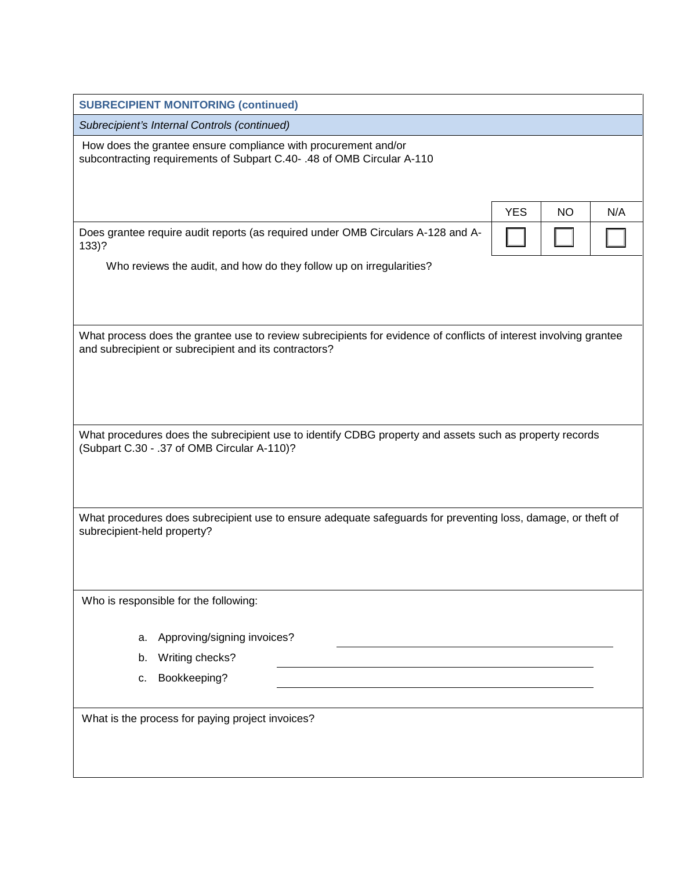| <b>SUBRECIPIENT MONITORING (continued)</b>                                                                                                                                 |                  |
|----------------------------------------------------------------------------------------------------------------------------------------------------------------------------|------------------|
| Subrecipient's Internal Controls (continued)                                                                                                                               |                  |
| How does the grantee ensure compliance with procurement and/or<br>subcontracting requirements of Subpart C.40-.48 of OMB Circular A-110                                    |                  |
| <b>YES</b>                                                                                                                                                                 | <b>NO</b><br>N/A |
| Does grantee require audit reports (as required under OMB Circulars A-128 and A-<br>$133$ ?                                                                                |                  |
| Who reviews the audit, and how do they follow up on irregularities?                                                                                                        |                  |
|                                                                                                                                                                            |                  |
| What process does the grantee use to review subrecipients for evidence of conflicts of interest involving grantee<br>and subrecipient or subrecipient and its contractors? |                  |
|                                                                                                                                                                            |                  |
|                                                                                                                                                                            |                  |
| What procedures does the subrecipient use to identify CDBG property and assets such as property records<br>(Subpart C.30 - .37 of OMB Circular A-110)?                     |                  |
| What procedures does subrecipient use to ensure adequate safeguards for preventing loss, damage, or theft of<br>subrecipient-held property?                                |                  |
| Who is responsible for the following:                                                                                                                                      |                  |
| Approving/signing invoices?<br>а.                                                                                                                                          |                  |
| Writing checks?<br>b.                                                                                                                                                      |                  |
| Bookkeeping?<br>с.                                                                                                                                                         |                  |
| What is the process for paying project invoices?                                                                                                                           |                  |
|                                                                                                                                                                            |                  |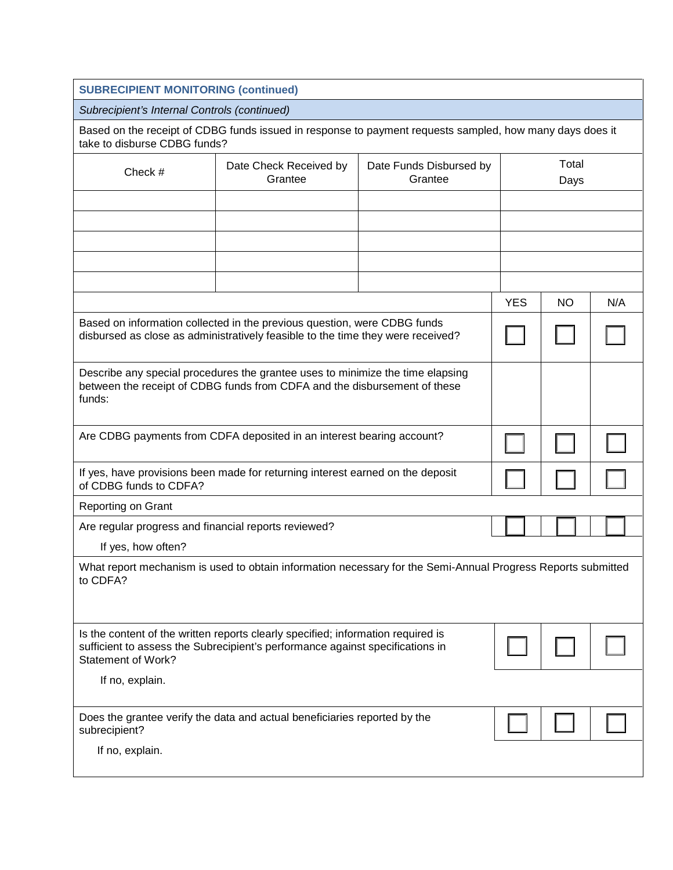| <b>SUBRECIPIENT MONITORING (continued)</b>                                                                                                                                                     |                                                                                                                                                             |                                    |            |               |     |  |
|------------------------------------------------------------------------------------------------------------------------------------------------------------------------------------------------|-------------------------------------------------------------------------------------------------------------------------------------------------------------|------------------------------------|------------|---------------|-----|--|
| Subrecipient's Internal Controls (continued)                                                                                                                                                   |                                                                                                                                                             |                                    |            |               |     |  |
| take to disburse CDBG funds?                                                                                                                                                                   | Based on the receipt of CDBG funds issued in response to payment requests sampled, how many days does it                                                    |                                    |            |               |     |  |
| Check #                                                                                                                                                                                        | Date Check Received by<br>Grantee                                                                                                                           | Date Funds Disbursed by<br>Grantee |            | Total<br>Days |     |  |
|                                                                                                                                                                                                |                                                                                                                                                             |                                    |            |               |     |  |
|                                                                                                                                                                                                |                                                                                                                                                             |                                    |            |               |     |  |
|                                                                                                                                                                                                |                                                                                                                                                             |                                    |            |               |     |  |
|                                                                                                                                                                                                |                                                                                                                                                             |                                    |            |               |     |  |
|                                                                                                                                                                                                |                                                                                                                                                             |                                    |            |               |     |  |
|                                                                                                                                                                                                |                                                                                                                                                             |                                    | <b>YES</b> | <b>NO</b>     | N/A |  |
| Based on information collected in the previous question, were CDBG funds<br>disbursed as close as administratively feasible to the time they were received?                                    |                                                                                                                                                             |                                    |            |               |     |  |
| funds:                                                                                                                                                                                         | Describe any special procedures the grantee uses to minimize the time elapsing<br>between the receipt of CDBG funds from CDFA and the disbursement of these |                                    |            |               |     |  |
| Are CDBG payments from CDFA deposited in an interest bearing account?                                                                                                                          |                                                                                                                                                             |                                    |            |               |     |  |
| of CDBG funds to CDFA?                                                                                                                                                                         | If yes, have provisions been made for returning interest earned on the deposit                                                                              |                                    |            |               |     |  |
| <b>Reporting on Grant</b>                                                                                                                                                                      |                                                                                                                                                             |                                    |            |               |     |  |
| Are regular progress and financial reports reviewed?                                                                                                                                           |                                                                                                                                                             |                                    |            |               |     |  |
| If yes, how often?                                                                                                                                                                             |                                                                                                                                                             |                                    |            |               |     |  |
| to CDFA?                                                                                                                                                                                       | What report mechanism is used to obtain information necessary for the Semi-Annual Progress Reports submitted                                                |                                    |            |               |     |  |
| Is the content of the written reports clearly specified; information required is<br>sufficient to assess the Subrecipient's performance against specifications in<br><b>Statement of Work?</b> |                                                                                                                                                             |                                    |            |               |     |  |
| If no, explain.                                                                                                                                                                                |                                                                                                                                                             |                                    |            |               |     |  |
| subrecipient?                                                                                                                                                                                  | Does the grantee verify the data and actual beneficiaries reported by the                                                                                   |                                    |            |               |     |  |
| If no, explain.                                                                                                                                                                                |                                                                                                                                                             |                                    |            |               |     |  |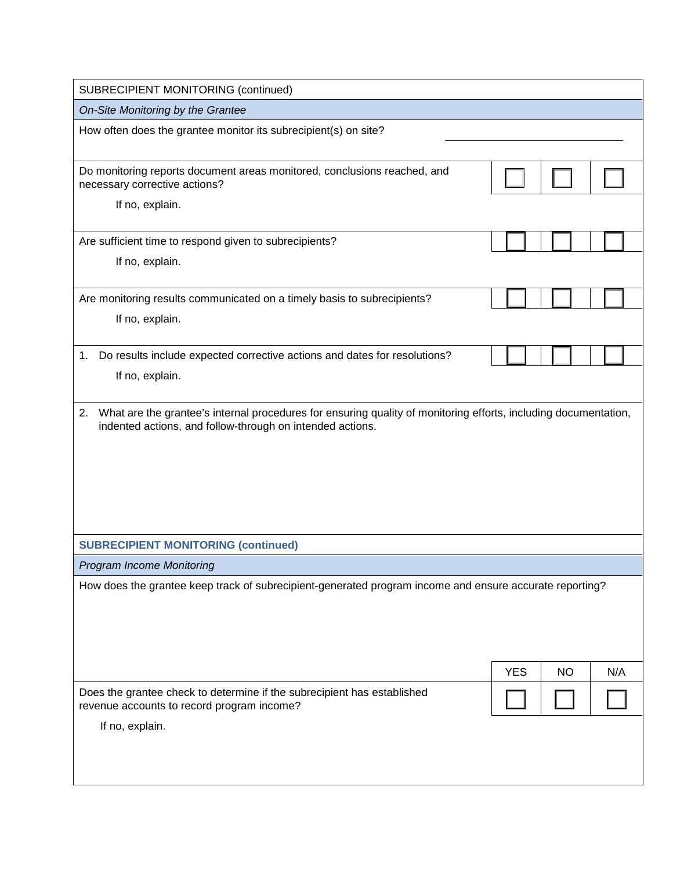| SUBRECIPIENT MONITORING (continued)                                                                                                                                                |            |           |     |
|------------------------------------------------------------------------------------------------------------------------------------------------------------------------------------|------------|-----------|-----|
| On-Site Monitoring by the Grantee                                                                                                                                                  |            |           |     |
| How often does the grantee monitor its subrecipient(s) on site?                                                                                                                    |            |           |     |
| Do monitoring reports document areas monitored, conclusions reached, and<br>necessary corrective actions?                                                                          |            |           |     |
| If no, explain.                                                                                                                                                                    |            |           |     |
| Are sufficient time to respond given to subrecipients?                                                                                                                             |            |           |     |
| If no, explain.                                                                                                                                                                    |            |           |     |
| Are monitoring results communicated on a timely basis to subrecipients?                                                                                                            |            |           |     |
| If no, explain.                                                                                                                                                                    |            |           |     |
| Do results include expected corrective actions and dates for resolutions?<br>1.                                                                                                    |            |           |     |
| If no, explain.                                                                                                                                                                    |            |           |     |
| What are the grantee's internal procedures for ensuring quality of monitoring efforts, including documentation,<br>2.<br>indented actions, and follow-through on intended actions. |            |           |     |
| <b>SUBRECIPIENT MONITORING (continued)</b>                                                                                                                                         |            |           |     |
| <b>Program Income Monitoring</b>                                                                                                                                                   |            |           |     |
| How does the grantee keep track of subrecipient-generated program income and ensure accurate reporting?                                                                            |            |           |     |
|                                                                                                                                                                                    | <b>YES</b> | <b>NO</b> | N/A |
| Does the grantee check to determine if the subrecipient has established<br>revenue accounts to record program income?                                                              |            |           |     |
| If no, explain.                                                                                                                                                                    |            |           |     |